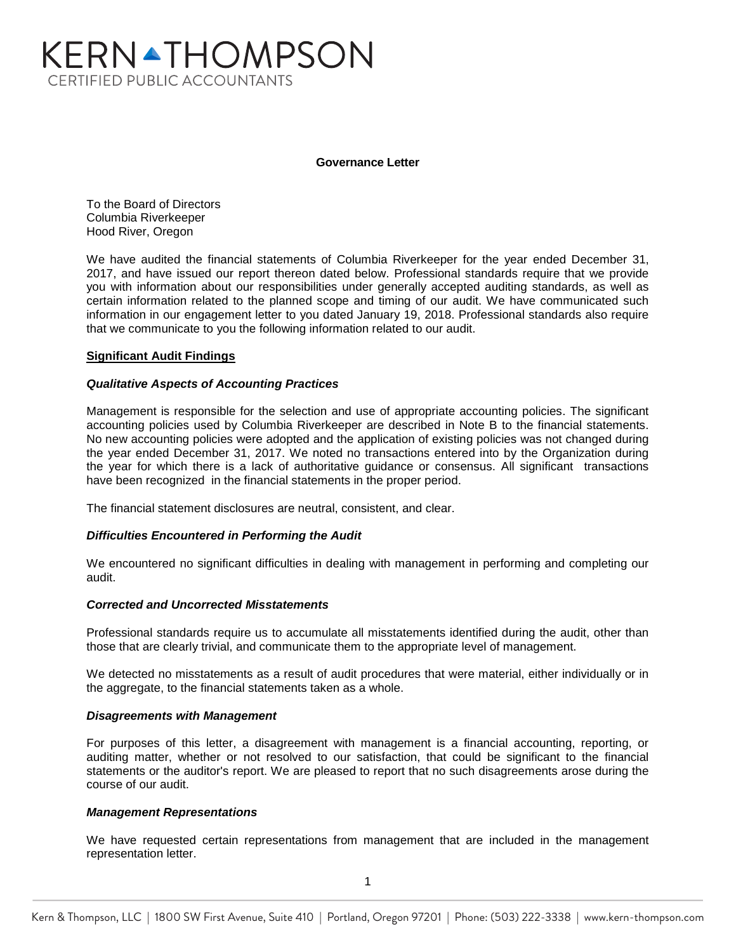# KERNATHOMPSON **CERTIFIED PUBLIC ACCOUNTANTS**

# **Governance Letter**

To the Board of Directors Columbia Riverkeeper Hood River, Oregon

We have audited the financial statements of Columbia Riverkeeper for the year ended December 31, 2017, and have issued our report thereon dated below. Professional standards require that we provide you with information about our responsibilities under generally accepted auditing standards, as well as certain information related to the planned scope and timing of our audit. We have communicated such information in our engagement letter to you dated January 19, 2018. Professional standards also require that we communicate to you the following information related to our audit.

# **Significant Audit Findings**

# *Qualitative Aspects of Accounting Practices*

Management is responsible for the selection and use of appropriate accounting policies. The significant accounting policies used by Columbia Riverkeeper are described in Note B to the financial statements. No new accounting policies were adopted and the application of existing policies was not changed during the year ended December 31, 2017. We noted no transactions entered into by the Organization during the year for which there is a lack of authoritative guidance or consensus. All significant transactions have been recognized in the financial statements in the proper period.

The financial statement disclosures are neutral, consistent, and clear.

# *Difficulties Encountered in Performing the Audit*

We encountered no significant difficulties in dealing with management in performing and completing our audit.

# *Corrected and Uncorrected Misstatements*

Professional standards require us to accumulate all misstatements identified during the audit, other than those that are clearly trivial, and communicate them to the appropriate level of management.

We detected no misstatements as a result of audit procedures that were material, either individually or in the aggregate, to the financial statements taken as a whole.

# *Disagreements with Management*

For purposes of this letter, a disagreement with management is a financial accounting, reporting, or auditing matter, whether or not resolved to our satisfaction, that could be significant to the financial statements or the auditor's report. We are pleased to report that no such disagreements arose during the course of our audit.

# *Management Representations*

We have requested certain representations from management that are included in the management representation letter.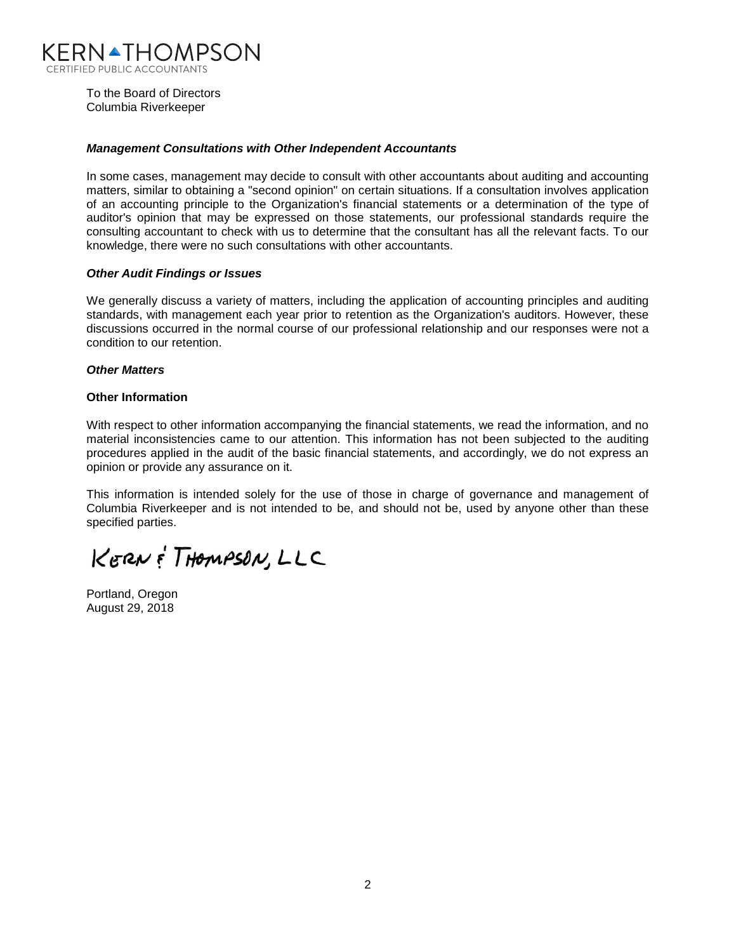

To the Board of Directors Columbia Riverkeeper

### *Management Consultations with Other Independent Accountants*

In some cases, management may decide to consult with other accountants about auditing and accounting matters, similar to obtaining a "second opinion" on certain situations. If a consultation involves application of an accounting principle to the Organization's financial statements or a determination of the type of auditor's opinion that may be expressed on those statements, our professional standards require the consulting accountant to check with us to determine that the consultant has all the relevant facts. To our knowledge, there were no such consultations with other accountants.

#### *Other Audit Findings or Issues*

We generally discuss a variety of matters, including the application of accounting principles and auditing standards, with management each year prior to retention as the Organization's auditors. However, these discussions occurred in the normal course of our professional relationship and our responses were not a condition to our retention.

# *Other Matters*

# **Other Information**

With respect to other information accompanying the financial statements, we read the information, and no material inconsistencies came to our attention. This information has not been subjected to the auditing procedures applied in the audit of the basic financial statements, and accordingly, we do not express an opinion or provide any assurance on it.

This information is intended solely for the use of those in charge of governance and management of Columbia Riverkeeper and is not intended to be, and should not be, used by anyone other than these specified parties.

KERN & THOMPSON, LLC

Portland, Oregon August 29, 2018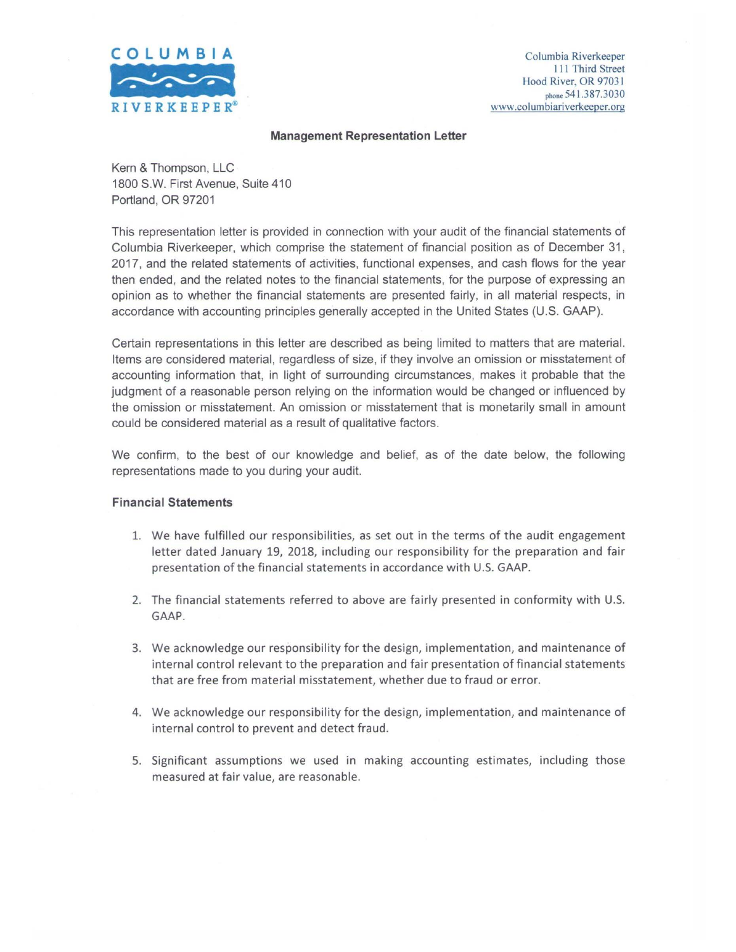

#### **Management Representation Letter**

Kern & Thompson, LLC 1800 S.W. First Avenue, Suite 410 Portland, OR 97201

This representation letter is provided in connection with your audit of the financial statements of Columbia Riverkeeper, which comprise the statement of financial position as of December 31, 2017, and the related statements of activities, functional expenses, and cash flows for the year then ended, and the related notes to the financial statements, for the purpose of expressing an opinion as to whether the financial statements are presented fairly, in all material respects, in accordance with accounting principles generally accepted in the United States (U.S. GAAP).

Certain representations in this letter are described as being limited to matters that are material. Items are considered material, regardless of size, if they involve an omission or misstatement of accounting information that, in light of surrounding circumstances, makes it probable that the judgment of a reasonable person relying on the information would be changed or influenced by the omission or misstatement. An omission or misstatement that is monetarily small in amount could be considered material as a result of qualitative factors.

We confirm, to the best of our knowledge and belief, as of the date below, the following representations made to you during your audit.

## **Financial Statements**

- 1. We have fulfilled our responsibilities, as set out in the terms of the audit engagement letter dated January 19, 2018, including our responsibility for the preparation and fair presentation of the financial statements in accordance with U.S. GAAP.
- 2. The financial statements referred to above are fairly presented in conformity with U.S. GAAP.
- 3. We acknowledge our responsibility for the design, implementation, and maintenance of internal control relevant to the preparation and fair presentation of financial statements that are free from material misstatement, whether due to fraud or error.
- 4. We acknowledge our responsibility for the design, implementation, and maintenance of internal control to prevent and detect fraud.
- 5. Significant assumptions we used in making accounting estimates, including those measured at fair value, are reasonable.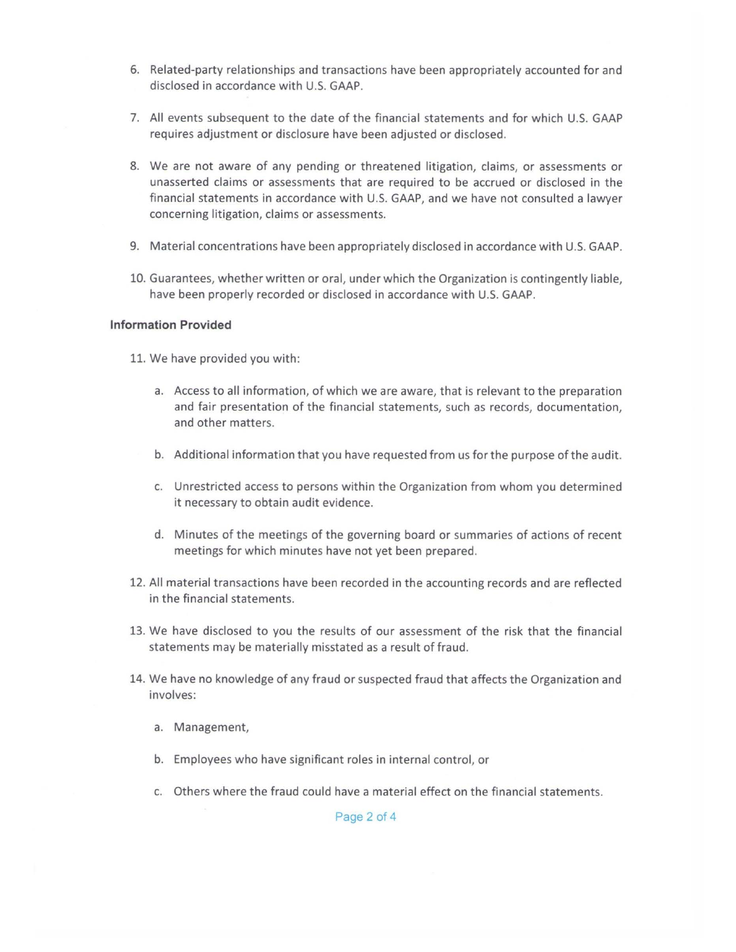- 6. Related-party relationships and transactions have been appropriately accounted for and disclosed in accordance with U.S. GAAP.
- 7. All events subsequent to the date of the financial statements and for which U.S. GAAP requires adjustment or disclosure have been adjusted or disclosed.
- 8. We are not aware of any pending or threatened litigation, claims, or assessments or unasserted claims or assessments that are required to be accrued or disclosed in the financial statements in accordance with U.S. GAAP, and we have not consulted a lawyer concerning litigation, claims or assessments.
- 9. Material concentrations have been appropriately disclosed in accordance with U.S. GAAP.
- 10. Guarantees, whether written or oral, under which the Organization is contingently liable, have been properly recorded or disclosed in accordance with U.S. GAAP.

#### **Information Provided**

11. We have provided you with:

- a. Access to all information, of which we are aware, that is relevant to the preparation and fair presentation of the financial statements, such as records, documentation, and other matters.
- b. Additional information that you have requested from us for the purpose of the audit.
- c. Unrestricted access to persons within the Organization from whom you determined it necessary to obtain audit evidence.
- d. Minutes of the meetings of the governing board or summaries of actions of recent meetings for which minutes have not yet been prepared.
- 12. All material transactions have been recorded in the accounting records and are reflected in the financial statements.
- 13. We have disclosed to you the results of our assessment of the risk that the financial statements may be materially misstated as a result of fraud.
- 14. We have no knowledge of any fraud or suspected fraud that affects the Organization and involves:
	- a. Management,
	- b. Employees who have significant roles in internal control, or
	- c. Others where the fraud could have a material effect on the financial statements.

#### Page 2 of 4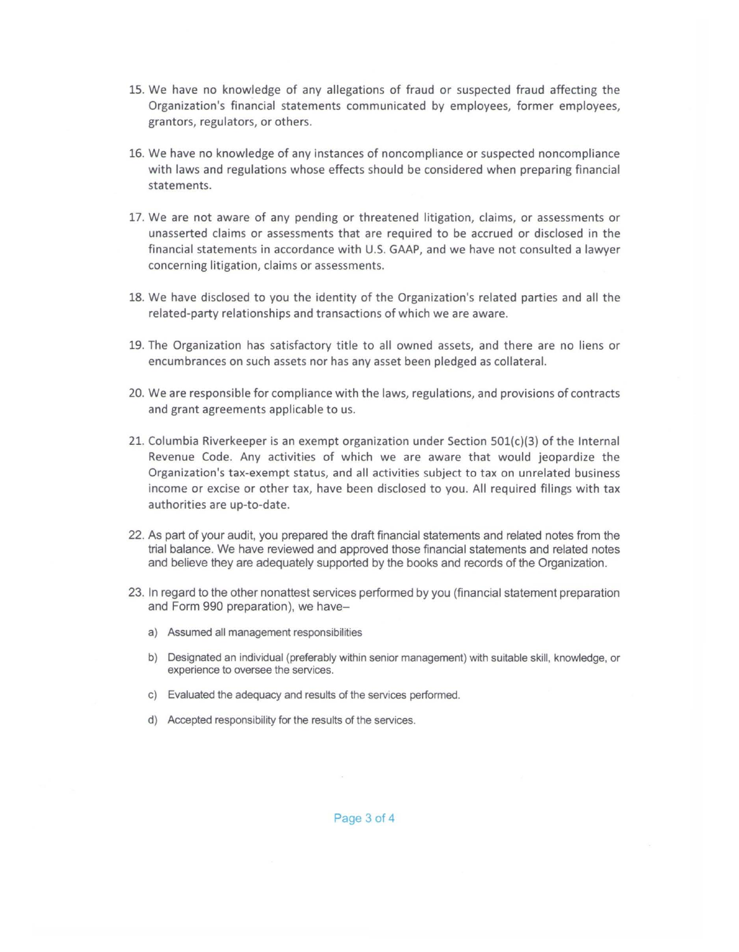- 15. We have no knowledge of any allegations of fraud or suspected fraud affecting the Organization's financial statements communicated by employees, former employees, grantors, regulators, or others.
- 16. We have no knowledge of any instances of noncompliance or suspected noncompliance with laws and regulations whose effects should be considered when preparing financial statements.
- 17. We are not aware of any pending or threatened litigation, claims, or assessments or unasserted claims or assessments that are required to be accrued or disclosed in the financial statements in accordance with U.S. GAAP, and we have not consulted a lawyer concerning litigation, claims or assessments.
- 18. We have disclosed to you the identity of the Organization's related parties and all the related-party relationships and transactions of which we are aware.
- 19. The Organization has satisfactory title to all owned assets, and there are no liens or encumbrances on such assets nor has any asset been pledged as collateral.
- 20. We are responsible for compliance with the laws, regulations, and provisions of contracts and grant agreements applicable to us.
- 21. Columbia Riverkeeper is an exempt organization under Section 501(c)(3} of the Internal Revenue Code. Any activities of which we are aware that would jeopardize the Organization's tax-exempt status, and all activities subject to tax on unrelated business income or excise or other tax, have been disclosed to you. All required filings with tax authorities are up-to-date.
- 22. As part of your audit, you prepared the draft financial statements and related notes from the trial balance. We have reviewed and approved those financial statements and related notes and believe they are adequately supported by the books and records of the Organization.
- 23. In regard to the other nonattest services performed by you (financial statement preparation and Form 990 preparation), we have
	- a) Assumed all management responsibilities
	- b) Designated an individual (preferably within senior management) with suitable skill, knowledge, or experience to oversee the services.
	- c) Evaluated the adequacy and results of the services performed.
	- d) Accepted responsibility for the results of the services.